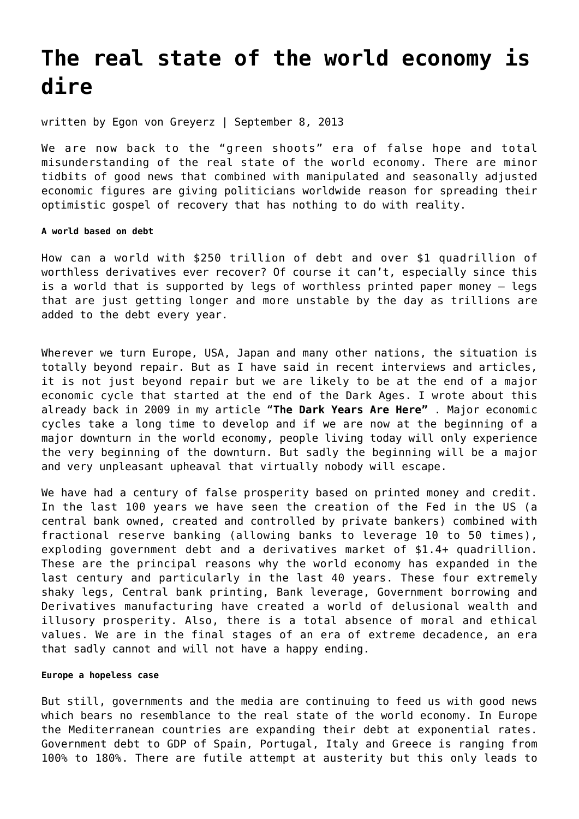## **[The real state of the world economy is](https://goldswitzerland.com/the-real-state-of-the-world-economy-is-dire/) [dire](https://goldswitzerland.com/the-real-state-of-the-world-economy-is-dire/)**

written by Egon von Greyerz | September 8, 2013

We are now back to the "green shoots" era of false hope and total misunderstanding of the real state of the world economy. There are minor tidbits of good news that combined with manipulated and seasonally adjusted economic figures are giving politicians worldwide reason for spreading their optimistic gospel of recovery that has nothing to do with reality.

## **A world based on debt**

How can a world with \$250 trillion of debt and over \$1 quadrillion of worthless derivatives ever recover? Of course it can't, especially since this is a world that is supported by legs of worthless printed paper money – legs that are just getting longer and more unstable by the day as trillions are added to the debt every year.

Wherever we turn Europe, USA, Japan and many other nations, the situation is totally beyond repair. But as I have said in recent interviews and articles, it is not just beyond repair but we are likely to be at the end of a major economic cycle that started at the end of the Dark Ages. I wrote about this already back in 2009 in my article ["](https://goldswitzerland.com/the-dark-years-are-here/)**[The Dark Years Are Here"](https://goldswitzerland.com/the-dark-years-are-here/)** . Major economic cycles take a long time to develop and if we are now at the beginning of a major downturn in the world economy, people living today will only experience the very beginning of the downturn. But sadly the beginning will be a major and very unpleasant upheaval that virtually nobody will escape.

We have had a century of false prosperity based on printed money and credit. In the last 100 years we have seen the creation of the Fed in the US (a central bank owned, created and controlled by private bankers) combined with fractional reserve banking (allowing banks to leverage 10 to 50 times), exploding government debt and a derivatives market of \$1.4+ quadrillion. These are the principal reasons why the world economy has expanded in the last century and particularly in the last 40 years. These four extremely shaky legs, Central bank printing, Bank leverage, Government borrowing and Derivatives manufacturing have created a world of delusional wealth and illusory prosperity. Also, there is a total absence of moral and ethical values. We are in the final stages of an era of extreme decadence, an era that sadly cannot and will not have a happy ending.

## **Europe a hopeless case**

But still, governments and the media are continuing to feed us with good news which bears no resemblance to the real state of the world economy. In Europe the Mediterranean countries are expanding their debt at exponential rates. Government debt to GDP of Spain, Portugal, Italy and Greece is ranging from 100% to 180%. There are futile attempt at austerity but this only leads to